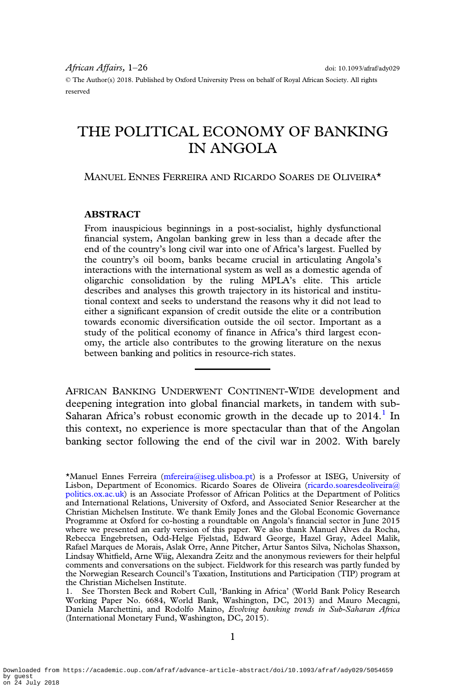© The Author(s) 2018. Published by Oxford University Press on behalf of Royal African Society. All rights reserved

# THE POLITICAL ECONOMY OF BANKING IN ANGOLA

MANUEL ENNES FERREIRA AND RICARDO SOARES DE OLIVEIRA\*

# **ABSTRACT**

From inauspicious beginnings in a post-socialist, highly dysfunctional financial system, Angolan banking grew in less than a decade after the end of the country's long civil war into one of Africa's largest. Fuelled by the country's oil boom, banks became crucial in articulating Angola's interactions with the international system as well as a domestic agenda of oligarchic consolidation by the ruling MPLA's elite. This article describes and analyses this growth trajectory in its historical and institutional context and seeks to understand the reasons why it did not lead to either a significant expansion of credit outside the elite or a contribution towards economic diversification outside the oil sector. Important as a study of the political economy of finance in Africa's third largest economy, the article also contributes to the growing literature on the nexus between banking and politics in resource-rich states.

AFRICAN BANKING UNDERWENT CONTINENT-WIDE development and deepening integration into global financial markets, in tandem with sub-Saharan Africa's robust economic growth in the decade up to  $2014$ .<sup>1</sup> In this context, no experience is more spectacular than that of the Angolan banking sector following the end of the civil war in 2002. With barely

<sup>\*</sup>Manuel Ennes Ferreira [\(mfereira@iseg.ulisboa.pt](mailto: mfereira@iseg.ulisboa.pt)) is a Professor at ISEG, University of Lisbon, Department of Economics. Ricardo Soares de Oliveira [\(ricardo.soaresdeoliveira@](mailto: ricardo.soaresdeoliveira@politics.ox.ac.uk) [politics.ox.ac.uk\)](mailto: ricardo.soaresdeoliveira@politics.ox.ac.uk) is an Associate Professor of African Politics at the Department of Politics and International Relations, University of Oxford, and Associated Senior Researcher at the Christian Michelsen Institute. We thank Emily Jones and the Global Economic Governance Programme at Oxford for co-hosting a roundtable on Angola's financial sector in June 2015 where we presented an early version of this paper. We also thank Manuel Alves da Rocha, Rebecca Engebretsen, Odd-Helge Fjelstad, Edward George, Hazel Gray, Adeel Malik, Rafael Marques de Morais, Aslak Orre, Anne Pitcher, Artur Santos Silva, Nicholas Shaxson, Lindsay Whitfield, Arne Wiig, Alexandra Zeitz and the anonymous reviewers for their helpful comments and conversations on the subject. Fieldwork for this research was partly funded by the Norwegian Research Council's Taxation, Institutions and Participation (TIP) program at the Christian Michelsen Institute.

<sup>1.</sup> See Thorsten Beck and Robert Cull, 'Banking in Africa' (World Bank Policy Research Working Paper No. 6684, World Bank, Washington, DC, 2013) and Mauro Mecagni, Daniela Marchettini, and Rodolfo Maino, Evolving banking trends in Sub-Saharan Africa (International Monetary Fund, Washington, DC, 2015).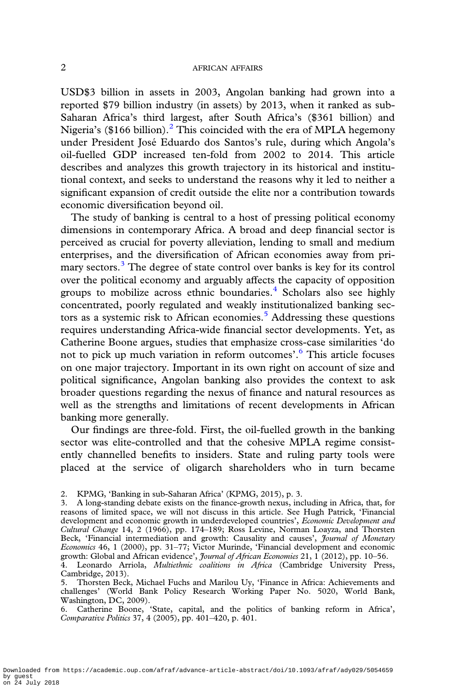USD\$3 billion in assets in 2003, Angolan banking had grown into a reported \$79 billion industry (in assets) by 2013, when it ranked as sub-Saharan Africa's third largest, after South Africa's (\$361 billion) and Nigeria's (\$166 billion).<sup>2</sup> This coincided with the era of MPLA hegemony under President José Eduardo dos Santos's rule, during which Angola's oil-fuelled GDP increased ten-fold from 2002 to 2014. This article describes and analyzes this growth trajectory in its historical and institutional context, and seeks to understand the reasons why it led to neither a significant expansion of credit outside the elite nor a contribution towards economic diversification beyond oil.

The study of banking is central to a host of pressing political economy dimensions in contemporary Africa. A broad and deep financial sector is perceived as crucial for poverty alleviation, lending to small and medium enterprises, and the diversification of African economies away from primary sectors.<sup>3</sup> The degree of state control over banks is key for its control over the political economy and arguably affects the capacity of opposition groups to mobilize across ethnic boundaries.<sup>4</sup> Scholars also see highly concentrated, poorly regulated and weakly institutionalized banking sectors as a systemic risk to African economies.<sup>5</sup> Addressing these questions requires understanding Africa-wide financial sector developments. Yet, as Catherine Boone argues, studies that emphasize cross-case similarities 'do not to pick up much variation in reform outcomes'. <sup>6</sup> This article focuses on one major trajectory. Important in its own right on account of size and political significance, Angolan banking also provides the context to ask broader questions regarding the nexus of finance and natural resources as well as the strengths and limitations of recent developments in African banking more generally.

Our findings are three-fold. First, the oil-fuelled growth in the banking sector was elite-controlled and that the cohesive MPLA regime consistently channelled benefits to insiders. State and ruling party tools were placed at the service of oligarch shareholders who in turn became

<sup>2.</sup> KPMG, 'Banking in sub-Saharan Africa' (KPMG, 2015), p. 3.

<sup>3.</sup> A long-standing debate exists on the finance-growth nexus, including in Africa, that, for reasons of limited space, we will not discuss in this article. See Hugh Patrick, 'Financial development and economic growth in underdeveloped countries', Economic Development and Cultural Change 14, 2 (1966), pp. 174–189; Ross Levine, Norman Loayza, and Thorsten Beck, 'Financial intermediation and growth: Causality and causes', *Journal of Monetary* Economics 46, 1 (2000), pp. 31-77; Victor Murinde, 'Financial development and economic growth: Global and African evidence', *Journal of African Economies* 21, 1 (2012), pp. 10-56.

<sup>4.</sup> Leonardo Arriola, Multiethnic coalitions in Africa (Cambridge University Press, Cambridge, 2013).

<sup>5.</sup> Thorsten Beck, Michael Fuchs and Marilou Uy, 'Finance in Africa: Achievements and challenges' (World Bank Policy Research Working Paper No. 5020, World Bank, Washington, DC, 2009).

<sup>6.</sup> Catherine Boone, 'State, capital, and the politics of banking reform in Africa', Comparative Politics 37, 4 (2005), pp. 401–420, p. 401.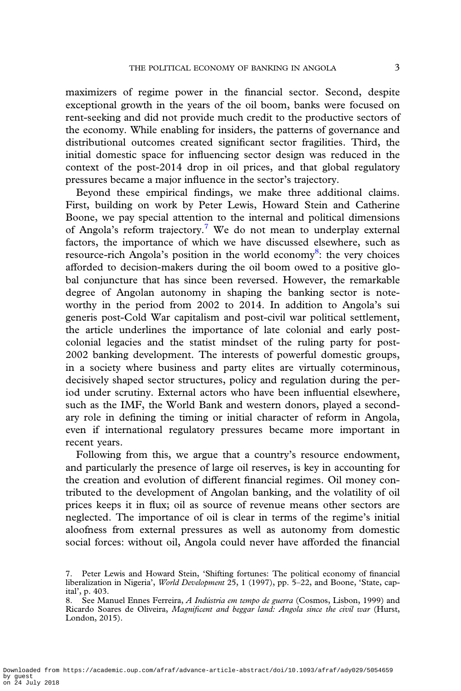maximizers of regime power in the financial sector. Second, despite exceptional growth in the years of the oil boom, banks were focused on rent-seeking and did not provide much credit to the productive sectors of the economy. While enabling for insiders, the patterns of governance and distributional outcomes created significant sector fragilities. Third, the initial domestic space for influencing sector design was reduced in the context of the post-2014 drop in oil prices, and that global regulatory pressures became a major influence in the sector's trajectory.

Beyond these empirical findings, we make three additional claims. First, building on work by Peter Lewis, Howard Stein and Catherine Boone, we pay special attention to the internal and political dimensions of Angola's reform trajectory.7 We do not mean to underplay external factors, the importance of which we have discussed elsewhere, such as resource-rich Angola's position in the world economy<sup>8</sup>: the very choices afforded to decision-makers during the oil boom owed to a positive global conjuncture that has since been reversed. However, the remarkable degree of Angolan autonomy in shaping the banking sector is noteworthy in the period from 2002 to 2014. In addition to Angola's sui generis post-Cold War capitalism and post-civil war political settlement, the article underlines the importance of late colonial and early postcolonial legacies and the statist mindset of the ruling party for post-2002 banking development. The interests of powerful domestic groups, in a society where business and party elites are virtually coterminous, decisively shaped sector structures, policy and regulation during the period under scrutiny. External actors who have been influential elsewhere, such as the IMF, the World Bank and western donors, played a secondary role in defining the timing or initial character of reform in Angola, even if international regulatory pressures became more important in recent years.

Following from this, we argue that a country's resource endowment, and particularly the presence of large oil reserves, is key in accounting for the creation and evolution of different financial regimes. Oil money contributed to the development of Angolan banking, and the volatility of oil prices keeps it in flux; oil as source of revenue means other sectors are neglected. The importance of oil is clear in terms of the regime's initial aloofness from external pressures as well as autonomy from domestic social forces: without oil, Angola could never have afforded the financial

<sup>7.</sup> Peter Lewis and Howard Stein, 'Shifting fortunes: The political economy of financial liberalization in Nigeria', World Development 25, 1 (1997), pp. 5-22, and Boone, 'State, capital', p. 403.

<sup>8.</sup> See Manuel Ennes Ferreira, A Indústria em tempo de guerra (Cosmos, Lisbon, 1999) and Ricardo Soares de Oliveira, Magnificent and beggar land: Angola since the civil war (Hurst, London, 2015).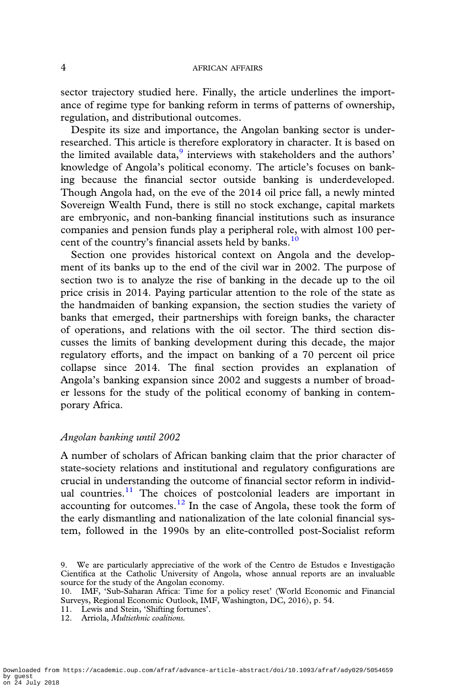sector trajectory studied here. Finally, the article underlines the importance of regime type for banking reform in terms of patterns of ownership, regulation, and distributional outcomes.

Despite its size and importance, the Angolan banking sector is underresearched. This article is therefore exploratory in character. It is based on the limited available data, $9$  interviews with stakeholders and the authors' knowledge of Angola's political economy. The article's focuses on banking because the financial sector outside banking is underdeveloped. Though Angola had, on the eve of the 2014 oil price fall, a newly minted Sovereign Wealth Fund, there is still no stock exchange, capital markets are embryonic, and non-banking financial institutions such as insurance companies and pension funds play a peripheral role, with almost 100 percent of the country's financial assets held by banks.<sup>10</sup>

Section one provides historical context on Angola and the development of its banks up to the end of the civil war in 2002. The purpose of section two is to analyze the rise of banking in the decade up to the oil price crisis in 2014. Paying particular attention to the role of the state as the handmaiden of banking expansion, the section studies the variety of banks that emerged, their partnerships with foreign banks, the character of operations, and relations with the oil sector. The third section discusses the limits of banking development during this decade, the major regulatory efforts, and the impact on banking of a 70 percent oil price collapse since 2014. The final section provides an explanation of Angola's banking expansion since 2002 and suggests a number of broader lessons for the study of the political economy of banking in contemporary Africa.

### Angolan banking until 2002

A number of scholars of African banking claim that the prior character of state-society relations and institutional and regulatory configurations are crucial in understanding the outcome of financial sector reform in individual countries.<sup>11</sup> The choices of postcolonial leaders are important in accounting for outcomes. $12$  In the case of Angola, these took the form of the early dismantling and nationalization of the late colonial financial system, followed in the 1990s by an elite-controlled post-Socialist reform

- 11. Lewis and Stein, 'Shifting fortunes'.
- 12. Arriola, Multiethnic coalitions.

<sup>9.</sup> We are particularly appreciative of the work of the Centro de Estudos e Investigação Científica at the Catholic University of Angola, whose annual reports are an invaluable source for the study of the Angolan economy.

<sup>10.</sup> IMF, 'Sub-Saharan Africa: Time for a policy reset' (World Economic and Financial Surveys, Regional Economic Outlook, IMF, Washington, DC, 2016), p. 54.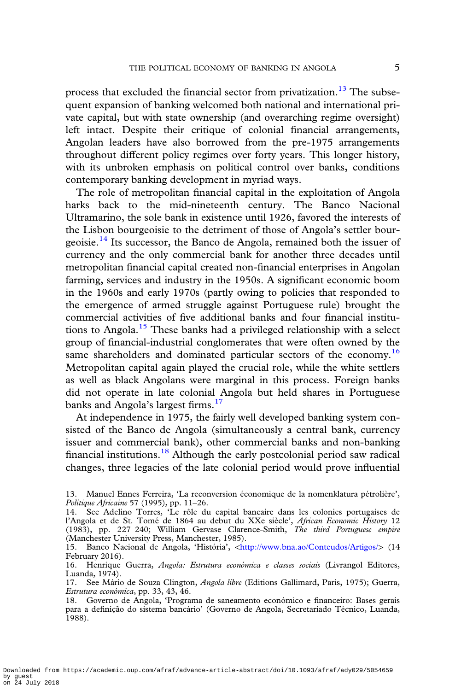process that excluded the financial sector from privatization.<sup>13</sup> The subsequent expansion of banking welcomed both national and international private capital, but with state ownership (and overarching regime oversight) left intact. Despite their critique of colonial financial arrangements, Angolan leaders have also borrowed from the pre-1975 arrangements throughout different policy regimes over forty years. This longer history, with its unbroken emphasis on political control over banks, conditions contemporary banking development in myriad ways.

The role of metropolitan financial capital in the exploitation of Angola harks back to the mid-nineteenth century. The Banco Nacional Ultramarino, the sole bank in existence until 1926, favored the interests of the Lisbon bourgeoisie to the detriment of those of Angola's settler bourgeoisie.<sup>14</sup> Its successor, the Banco de Angola, remained both the issuer of currency and the only commercial bank for another three decades until metropolitan financial capital created non-financial enterprises in Angolan farming, services and industry in the 1950s. A significant economic boom in the 1960s and early 1970s (partly owing to policies that responded to the emergence of armed struggle against Portuguese rule) brought the commercial activities of five additional banks and four financial institutions to Angola.<sup>15</sup> These banks had a privileged relationship with a select group of financial-industrial conglomerates that were often owned by the same shareholders and dominated particular sectors of the economy.<sup>16</sup> Metropolitan capital again played the crucial role, while the white settlers as well as black Angolans were marginal in this process. Foreign banks did not operate in late colonial Angola but held shares in Portuguese banks and Angola's largest firms.<sup>17</sup>

At independence in 1975, the fairly well developed banking system consisted of the Banco de Angola (simultaneously a central bank, currency issuer and commercial bank), other commercial banks and non-banking financial institutions.<sup>18</sup> Although the early postcolonial period saw radical changes, three legacies of the late colonial period would prove influential

<sup>13.</sup> Manuel Ennes Ferreira, 'La reconversion économique de la nomenklatura pétrolière', Politique Africaine 57 (1995), pp. 11–26.

<sup>14.</sup> See Adelino Torres, 'Le rôle du capital bancaire dans les colonies portugaises de l'Angola et de St. Tomé de 1864 au debut du XXe siècle', African Economic History 12 (1983), pp. 227–240; William Gervase Clarence-Smith, The third Portuguese empire (Manchester University Press, Manchester, 1985).

<sup>15.</sup> Banco Nacional de Angola, 'História', <<http://www.bna.ao/Conteudos/Artigos/>> (14 February 2016).

<sup>16.</sup> Henrique Guerra, Angola: Estrutura económica e classes sociais (Livrangol Editores, Luanda, 1974).

<sup>17.</sup> See Mário de Souza Clington, Angola libre (Editions Gallimard, Paris, 1975); Guerra, Estrutura económica, pp. 33, 43, 46.

<sup>18.</sup> Governo de Angola, 'Programa de saneamento económico e financeiro: Bases gerais para a definição do sistema bancário' (Governo de Angola, Secretariado Técnico, Luanda, 1988).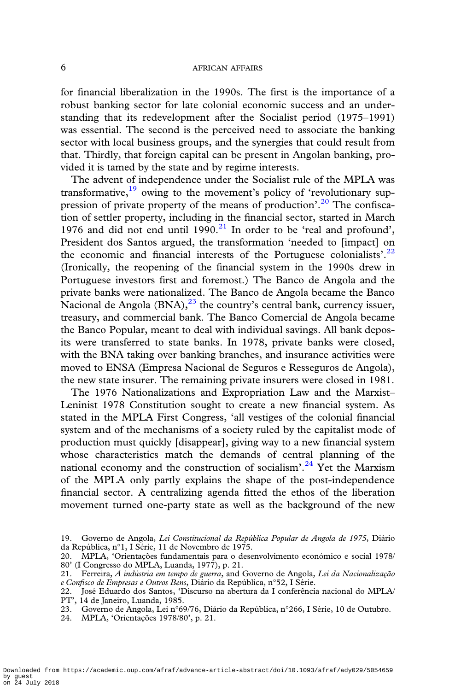for financial liberalization in the 1990s. The first is the importance of a robust banking sector for late colonial economic success and an understanding that its redevelopment after the Socialist period (1975–1991) was essential. The second is the perceived need to associate the banking sector with local business groups, and the synergies that could result from that. Thirdly, that foreign capital can be present in Angolan banking, provided it is tamed by the state and by regime interests.

The advent of independence under the Socialist rule of the MPLA was transformative, $19$  owing to the movement's policy of 'revolutionary suppression of private property of the means of production'.<sup>20</sup> The confiscation of settler property, including in the financial sector, started in March 1976 and did not end until  $1990.<sup>21</sup>$  In order to be 'real and profound', President dos Santos argued, the transformation 'needed to [impact] on the economic and financial interests of the Portuguese colonialists'.<sup>22</sup> (Ironically, the reopening of the financial system in the 1990s drew in Portuguese investors first and foremost.) The Banco de Angola and the private banks were nationalized. The Banco de Angola became the Banco Nacional de Angola  $(BNA)$ ,  $^{23}$  the country's central bank, currency issuer, treasury, and commercial bank. The Banco Comercial de Angola became the Banco Popular, meant to deal with individual savings. All bank deposits were transferred to state banks. In 1978, private banks were closed, with the BNA taking over banking branches, and insurance activities were moved to ENSA (Empresa Nacional de Seguros e Resseguros de Angola), the new state insurer. The remaining private insurers were closed in 1981.

The 1976 Nationalizations and Expropriation Law and the Marxist– Leninist 1978 Constitution sought to create a new financial system. As stated in the MPLA First Congress, 'all vestiges of the colonial financial system and of the mechanisms of a society ruled by the capitalist mode of production must quickly [disappear], giving way to a new financial system whose characteristics match the demands of central planning of the national economy and the construction of socialism'.<sup>24</sup> Yet the Marxism of the MPLA only partly explains the shape of the post-independence financial sector. A centralizing agenda fitted the ethos of the liberation movement turned one-party state as well as the background of the new

Downloaded from https://academic.oup.com/afraf/advance-article-abstract/doi/10.1093/afraf/ady029/5054659 by guest on 24 July 2018

<sup>19.</sup> Governo de Angola, Lei Constitucional da República Popular de Angola de 1975, Diário da República, n°1, I Série, 11 de Novembro de 1975.

<sup>20.</sup> MPLA, 'Orientações fundamentais para o desenvolvimento económico e social 1978/ 80' (I Congresso do MPLA, Luanda, 1977), p. 21.

<sup>21.</sup> Ferreira, A indústria em tempo de guerra, and Governo de Angola, Lei da Nacionalização e Confisco de Empresas e Outros Bens, Diário da República, n°52, I Série.

<sup>22.</sup> José Eduardo dos Santos, 'Discurso na abertura da I conferência nacional do MPLA/ PT', 14 de Janeiro, Luanda, 1985.

<sup>23.</sup> Governo de Angola, Lei n°69/76, Diário da República, n°266, I Série, 10 de Outubro.

<sup>24.</sup> MPLA, 'Orientações 1978/80', p. 21.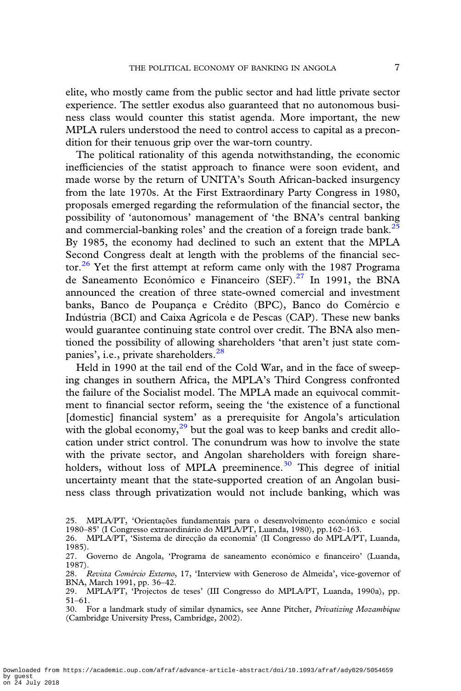elite, who mostly came from the public sector and had little private sector experience. The settler exodus also guaranteed that no autonomous business class would counter this statist agenda. More important, the new MPLA rulers understood the need to control access to capital as a precondition for their tenuous grip over the war-torn country.

The political rationality of this agenda notwithstanding, the economic inefficiencies of the statist approach to finance were soon evident, and made worse by the return of UNITA's South African-backed insurgency from the late 1970s. At the First Extraordinary Party Congress in 1980, proposals emerged regarding the reformulation of the financial sector, the possibility of 'autonomous' management of 'the BNA's central banking and commercial-banking roles' and the creation of a foreign trade bank.<sup>25</sup> By 1985, the economy had declined to such an extent that the MPLA Second Congress dealt at length with the problems of the financial sector. $26$  Yet the first attempt at reform came only with the 1987 Programa de Saneamento Económico e Financeiro (SEF).<sup>27</sup> In 1991, the BNA announced the creation of three state-owned comercial and investment banks, Banco de Poupança e Crédito (BPC), Banco do Comércio e Indústria (BCI) and Caixa Agrícola e de Pescas (CAP). These new banks would guarantee continuing state control over credit. The BNA also mentioned the possibility of allowing shareholders 'that aren't just state companies', i.e., private shareholders.<sup>28</sup>

Held in 1990 at the tail end of the Cold War, and in the face of sweeping changes in southern Africa, the MPLA's Third Congress confronted the failure of the Socialist model. The MPLA made an equivocal commitment to financial sector reform, seeing the 'the existence of a functional [domestic] financial system' as a prerequisite for Angola's articulation with the global economy, $^{29}$  but the goal was to keep banks and credit allocation under strict control. The conundrum was how to involve the state with the private sector, and Angolan shareholders with foreign shareholders, without loss of MPLA preeminence.<sup>30</sup> This degree of initial uncertainty meant that the state-supported creation of an Angolan business class through privatization would not include banking, which was

Downloaded from https://academic.oup.com/afraf/advance-article-abstract/doi/10.1093/afraf/ady029/5054659 by guest on 24 July 2018

<sup>25.</sup> MPLA/PT, 'Orientações fundamentais para o desenvolvimento económico e social 1980–85' (I Congresso extraordinário do MPLA/PT, Luanda, 1980), pp.162–163.

<sup>26.</sup> MPLA/PT, 'Sistema de direcção da economia' (II Congresso do MPLA/PT, Luanda, 1985).

<sup>27.</sup> Governo de Angola, 'Programa de saneamento económico e financeiro' (Luanda, 1987).

<sup>28.</sup> Revista Comércio Externo, 17, 'Interview with Generoso de Almeida', vice-governor of BNA, March 1991, pp. 36–42.

<sup>29.</sup> MPLA/PT, 'Projectos de teses' (III Congresso do MPLA/PT, Luanda, 1990a), pp. 51–61.

<sup>30.</sup> For a landmark study of similar dynamics, see Anne Pitcher, Privatizing Mozambique (Cambridge University Press, Cambridge, 2002).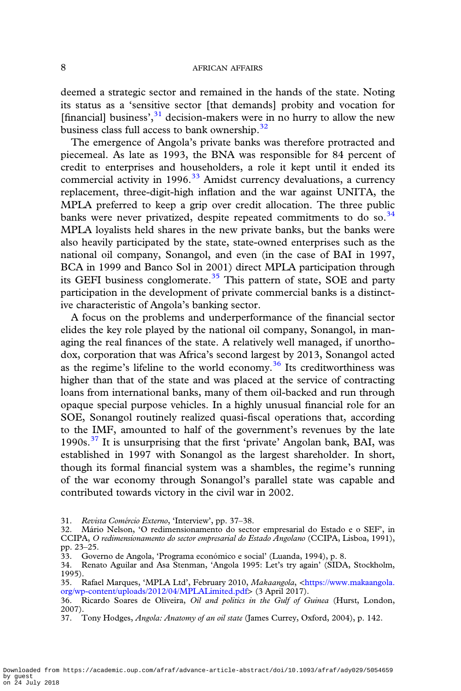deemed a strategic sector and remained in the hands of the state. Noting its status as a 'sensitive sector [that demands] probity and vocation for [financial] business',<sup>31</sup> decision-makers were in no hurry to allow the new business class full access to bank ownership.<sup>32</sup>

The emergence of Angola's private banks was therefore protracted and piecemeal. As late as 1993, the BNA was responsible for 84 percent of credit to enterprises and householders, a role it kept until it ended its commercial activity in 1996. $33$  Amidst currency devaluations, a currency replacement, three-digit-high inflation and the war against UNITA, the MPLA preferred to keep a grip over credit allocation. The three public banks were never privatized, despite repeated commitments to do so. $34$ MPLA loyalists held shares in the new private banks, but the banks were also heavily participated by the state, state-owned enterprises such as the national oil company, Sonangol, and even (in the case of BAI in 1997, BCA in 1999 and Banco Sol in 2001) direct MPLA participation through its GEFI business conglomerate.<sup>35</sup> This pattern of state, SOE and party participation in the development of private commercial banks is a distinctive characteristic of Angola's banking sector.

A focus on the problems and underperformance of the financial sector elides the key role played by the national oil company, Sonangol, in managing the real finances of the state. A relatively well managed, if unorthodox, corporation that was Africa's second largest by 2013, Sonangol acted as the regime's lifeline to the world economy.<sup>36</sup> Its creditworthiness was higher than that of the state and was placed at the service of contracting loans from international banks, many of them oil-backed and run through opaque special purpose vehicles. In a highly unusual financial role for an SOE, Sonangol routinely realized quasi-fiscal operations that, according to the IMF, amounted to half of the government's revenues by the late 1990s. $37$  It is unsurprising that the first 'private' Angolan bank, BAI, was established in 1997 with Sonangol as the largest shareholder. In short, though its formal financial system was a shambles, the regime's running of the war economy through Sonangol's parallel state was capable and contributed towards victory in the civil war in 2002.

<sup>31.</sup> Revista Comércio Externo, 'Interview', pp. 37–38.

<sup>32.</sup> Mário Nelson, 'O redimensionamento do sector empresarial do Estado e o SEF', in CCIPA, O redimensionamento do sector empresarial do Estado Angolano (CCIPA, Lisboa, 1991), pp. 23–25.

<sup>33.</sup> Governo de Angola, 'Programa económico e social' (Luanda, 1994), p. 8.

<sup>34.</sup> Renato Aguilar and Asa Stenman, 'Angola 1995: Let's try again' (SIDA, Stockholm, 1995).

<sup>35.</sup> Rafael Marques, 'MPLA Ltd', February 2010, Makaangola, <[https://www.makaangola.](https://www.makaangola.org/wp-content/uploads/2012/04/MPLALimited.pdf) [org/wp-content/uploads/2012/04/MPLALimited.pdf](https://www.makaangola.org/wp-content/uploads/2012/04/MPLALimited.pdf)> (3 April 2017).

<sup>36.</sup> Ricardo Soares de Oliveira, Oil and politics in the Gulf of Guinea (Hurst, London, 2007).

<sup>37.</sup> Tony Hodges, Angola: Anatomy of an oil state (James Currey, Oxford, 2004), p. 142.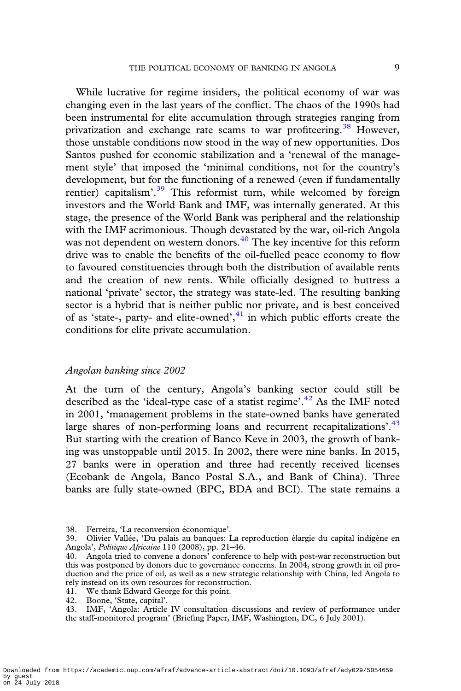While lucrative for regime insiders, the political economy of war was changing even in the last years of the conflict. The chaos of the 1990s had been instrumental for elite accumulation through strategies ranging from privatization and exchange rate scams to war profiteering.<sup>38</sup> However, those unstable conditions now stood in the way of new opportunities. Dos Santos pushed for economic stabilization and a 'renewal of the management style' that imposed the 'minimal conditions, not for the country's development, but for the functioning of a renewed (even if fundamentally rentier) capitalism'.<sup>39</sup> This reformist turn, while welcomed by foreign investors and the World Bank and IMF, was internally generated. At this stage, the presence of the World Bank was peripheral and the relationship with the IMF acrimonious. Though devastated by the war, oil-rich Angola was not dependent on western donors.<sup>40</sup> The key incentive for this reform drive was to enable the benefits of the oil-fuelled peace economy to flow to favoured constituencies through both the distribution of available rents and the creation of new rents. While officially designed to buttress a national 'private' sector, the strategy was state-led. The resulting banking sector is a hybrid that is neither public nor private, and is best conceived of as 'state-, party- and elite-owned', <sup>41</sup> in which public efforts create the conditions for elite private accumulation.

### Angolan banking since 2002

At the turn of the century, Angola's banking sector could still be described as the 'ideal-type case of a statist regime'.<sup>42</sup> As the IMF noted in 2001, 'management problems in the state-owned banks have generated large shares of non-performing loans and recurrent recapitalizations'.<sup>43</sup> But starting with the creation of Banco Keve in 2003, the growth of banking was unstoppable until 2015. In 2002, there were nine banks. In 2015, 27 banks were in operation and three had recently received licenses (Ecobank de Angola, Banco Postal S.A., and Bank of China). Three banks are fully state-owned (BPC, BDA and BCI). The state remains a

43. IMF, 'Angola: Article IV consultation discussions and review of performance under the staff-monitored program' (Briefing Paper, IMF, Washington, DC, 6 July 2001).

<sup>38.</sup> Ferreira, 'La reconversion économique'.

<sup>39.</sup> Olivier Vallée, 'Du palais au banques: La reproduction élargie du capital indigène en Angola', Politique Africaine 110 (2008), pp. 21–46.

<sup>40.</sup> Angola tried to convene a donors' conference to help with post-war reconstruction but this was postponed by donors due to governance concerns. In 2004, strong growth in oil production and the price of oil, as well as a new strategic relationship with China, led Angola to rely instead on its own resources for reconstruction.

<sup>41.</sup> We thank Edward George for this point.

<sup>42.</sup> Boone, 'State, capital'.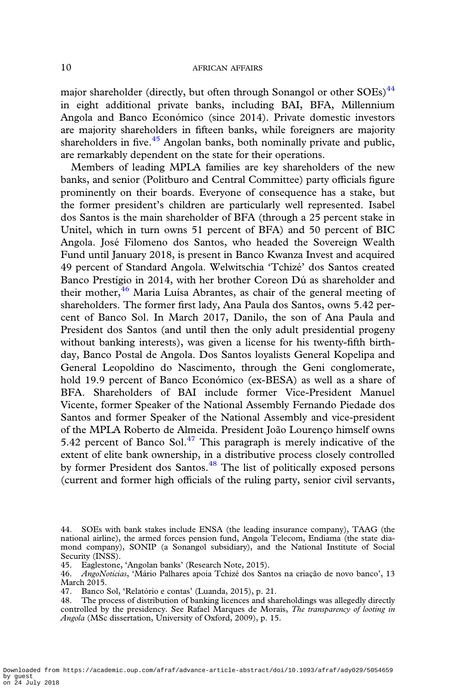major shareholder (directly, but often through Sonangol or other  $SOEs$ )<sup>44</sup> in eight additional private banks, including BAI, BFA, Millennium Angola and Banco Económico (since 2014). Private domestic investors are majority shareholders in fifteen banks, while foreigners are majority shareholders in five. $45$  Angolan banks, both nominally private and public, are remarkably dependent on the state for their operations.

Members of leading MPLA families are key shareholders of the new banks, and senior (Politburo and Central Committee) party officials figure prominently on their boards. Everyone of consequence has a stake, but the former president's children are particularly well represented. Isabel dos Santos is the main shareholder of BFA (through a 25 percent stake in Unitel, which in turn owns 51 percent of BFA) and 50 percent of BIC Angola. José Filomeno dos Santos, who headed the Sovereign Wealth Fund until January 2018, is present in Banco Kwanza Invest and acquired 49 percent of Standard Angola. Welwitschia 'Tchizé' dos Santos created Banco Prestígio in 2014, with her brother Coreon Dú as shareholder and their mother, $\frac{46}{10}$  Maria Luísa Abrantes, as chair of the general meeting of shareholders. The former first lady, Ana Paula dos Santos, owns 5.42 percent of Banco Sol. In March 2017, Danilo, the son of Ana Paula and President dos Santos (and until then the only adult presidential progeny without banking interests), was given a license for his twenty-fifth birthday, Banco Postal de Angola. Dos Santos loyalists General Kopelipa and General Leopoldino do Nascimento, through the Geni conglomerate, hold 19.9 percent of Banco Económico (ex-BESA) as well as a share of BFA. Shareholders of BAI include former Vice-President Manuel Vicente, former Speaker of the National Assembly Fernando Piedade dos Santos and former Speaker of the National Assembly and vice-president of the MPLA Roberto de Almeida. President João Lourenço himself owns 5.42 percent of Banco Sol. $47$  This paragraph is merely indicative of the extent of elite bank ownership, in a distributive process closely controlled by former President dos Santos.<sup>48</sup> The list of politically exposed persons (current and former high officials of the ruling party, senior civil servants,

Downloaded from https://academic.oup.com/afraf/advance-article-abstract/doi/10.1093/afraf/ady029/5054659 by guest on 24 July 2018

<sup>44.</sup> SOEs with bank stakes include ENSA (the leading insurance company), TAAG (the national airline), the armed forces pension fund, Angola Telecom, Endiama (the state diamond company), SONIP (a Sonangol subsidiary), and the National Institute of Social Security (INSS).

<sup>45.</sup> Eaglestone, 'Angolan banks' (Research Note, 2015).

<sup>46.</sup> AngoNoticias, 'Mário Palhares apoia Tchizé dos Santos na criação de novo banco', 13 March 2015.

<sup>47.</sup> Banco Sol, 'Relatório e contas' (Luanda, 2015), p. 21.

<sup>48.</sup> The process of distribution of banking licences and shareholdings was allegedly directly controlled by the presidency. See Rafael Marques de Morais, The transparency of looting in Angola (MSc dissertation, University of Oxford, 2009), p. 15.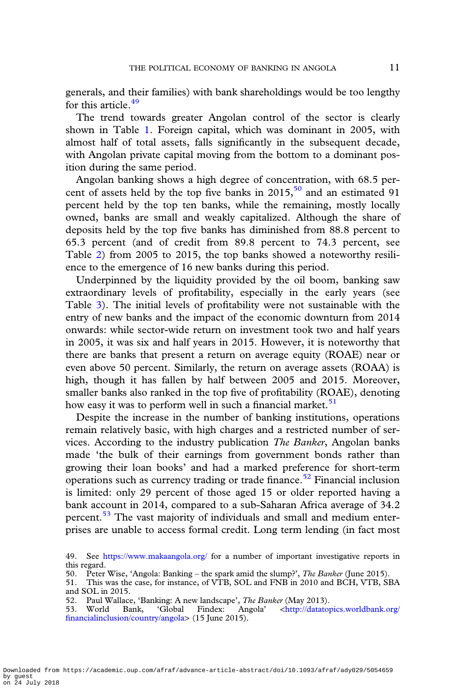generals, and their families) with bank shareholdings would be too lengthy for this article.<sup>49</sup>

The trend towards greater Angolan control of the sector is clearly shown in Table [1.](#page-11-0) Foreign capital, which was dominant in 2005, with almost half of total assets, falls significantly in the subsequent decade, with Angolan private capital moving from the bottom to a dominant position during the same period.

Angolan banking shows a high degree of concentration, with 68.5 percent of assets held by the top five banks in  $2015$ ,  $50$  and an estimated 91 percent held by the top ten banks, while the remaining, mostly locally owned, banks are small and weakly capitalized. Although the share of deposits held by the top five banks has diminished from 88.8 percent to 65.3 percent (and of credit from 89.8 percent to 74.3 percent, see Table [2\)](#page-12-0) from 2005 to 2015, the top banks showed a noteworthy resilience to the emergence of 16 new banks during this period.

Underpinned by the liquidity provided by the oil boom, banking saw extraordinary levels of profitability, especially in the early years (see Table [3\)](#page-13-0). The initial levels of profitability were not sustainable with the entry of new banks and the impact of the economic downturn from 2014 onwards: while sector-wide return on investment took two and half years in 2005, it was six and half years in 2015. However, it is noteworthy that there are banks that present a return on average equity (ROAE) near or even above 50 percent. Similarly, the return on average assets (ROAA) is high, though it has fallen by half between 2005 and 2015. Moreover, smaller banks also ranked in the top five of profitability (ROAE), denoting how easy it was to perform well in such a financial market.<sup>51</sup>

Despite the increase in the number of banking institutions, operations remain relatively basic, with high charges and a restricted number of services. According to the industry publication The Banker, Angolan banks made 'the bulk of their earnings from government bonds rather than growing their loan books' and had a marked preference for short-term operations such as currency trading or trade finance.<sup>52</sup> Financial inclusion is limited: only 29 percent of those aged 15 or older reported having a bank account in 2014, compared to a sub-Saharan Africa average of 34.2 percent.<sup>53</sup> The vast majority of individuals and small and medium enterprises are unable to access formal credit. Long term lending (in fact most

<sup>49.</sup> See <https://www.makaangola.org/> for a number of important investigative reports in this regard.

<sup>50.</sup> Peter Wise, 'Angola: Banking – the spark amid the slump?', *The Banker* (June 2015).

<sup>51.</sup> This was the case, for instance, of VTB, SOL and FNB in 2010 and BCH, VTB, SBA and SOL in 2015.

<sup>52.</sup> Paul Wallace, 'Banking: A new landscape', The Banker (May 2013).

<sup>53.</sup> World Bank, 'Global Findex: Angola' <[http://datatopics.worldbank.org/](http://datatopics.worldbank.org/financialinclusion/country/angola) fi[nancialinclusion/country/angola](http://datatopics.worldbank.org/financialinclusion/country/angola)> (15 June 2015).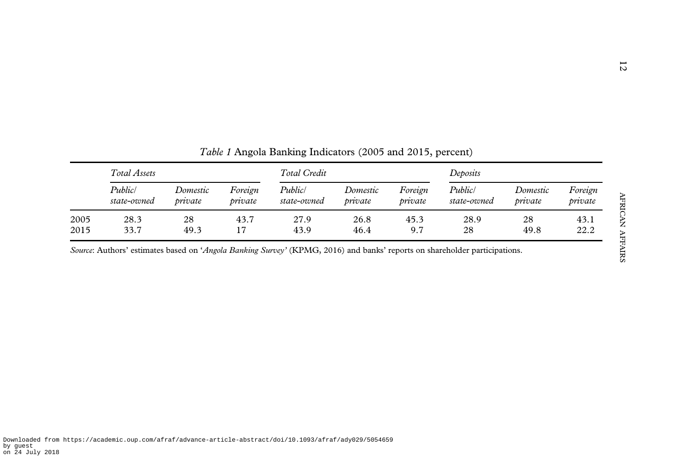<span id="page-11-0"></span>

|      | Total Assets |          |         | Total Credit |          |         | Deposits    |          |         |
|------|--------------|----------|---------|--------------|----------|---------|-------------|----------|---------|
|      | Public/      | Domestic | Foreign | Public/      | Domestic | Foreign | Public/     | Domestic | Foreign |
|      | state-owned  | private  | private | state-owned  | private  | private | state-owned | private  | private |
| 2005 | 28.3         | 28       | 43.7    | 27.9         | 26.8     | 45.3    | 28.9        | 28       | 43.1    |
| 2015 | 33.7         | 49.3     | 17      | 43.9         | 46.4     | 9.7     | 28          | 49.8     | 22.2    |

Table 1 Angola Banking Indicators (2005 and 2015, percent)

Source: Authors' estimates based on 'Angola Banking Survey' (KPMG, 2016) and banks' reports on shareholder participations.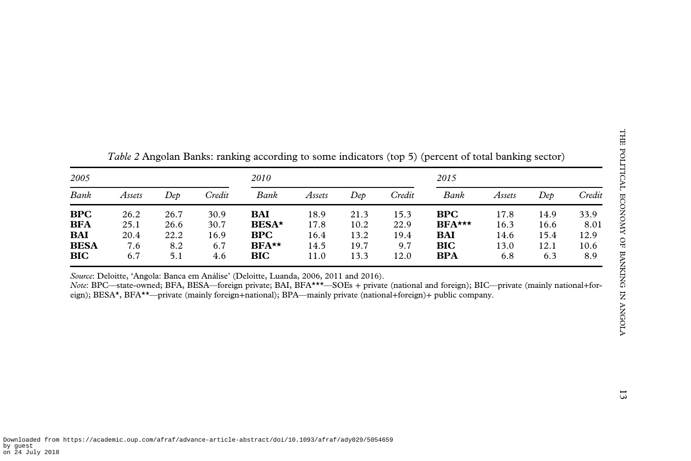<span id="page-12-0"></span>

| 2005        |        |      |        | 2010          |        |      |        | 2015       |        |      |        |
|-------------|--------|------|--------|---------------|--------|------|--------|------------|--------|------|--------|
| Bank        | Assets | Dep  | Credit | Bank          | Assets | Dep  | Credit | Bank       | Assets | Dep  | Credii |
| <b>BPC</b>  | 26.2   | 26.7 | 30.9   | BAI           | 18.9   | 21.3 | 15.3   | <b>BPC</b> | 17.8   | 14.9 | 33.9   |
| <b>BFA</b>  | 25.1   | 26.6 | 30.7   | <b>BESA</b> * | 17.8   | 10.2 | 22.9   | $BFA***$   | 16.3   | 16.6 | 8.01   |
| <b>BAI</b>  | 20.4   | 22.2 | 16.9   | <b>BPC</b>    | 16.4   | 13.2 | 19.4   | <b>BAI</b> | 14.6   | 15.4 | 12.9   |
| <b>BESA</b> | 7.6    | 8.2  | 6.7    | $BFA**$       | 14.5   | 19.7 | 9.7    | <b>BIC</b> | 13.0   | 12.1 | 10.6   |
| <b>BIC</b>  | 6.7    | 5.1  | 4.6    | <b>BIC</b>    | 11.0   | 13.3 | 12.0   | <b>BPA</b> | 6.8    | 6.3  | 8.9    |

Table 2 Angolan Banks: ranking according to some indicators (top 5) (percent of total banking sector)

Source: Deloitte, 'Angola: Banca em Análise' (Deloitte, Luanda, 2006, 2011 and 2016).

Note: BPC—state-owned; BFA, BESA—foreign private; BAI, BFA\*\*\*—SOEs <sup>+</sup> private (national and foreign); BIC—private (mainly national+foreign); BESA\*, BFA\*\*—private (mainly foreign+national); BPA—mainly private (national+foreign)<sup>+</sup> public company.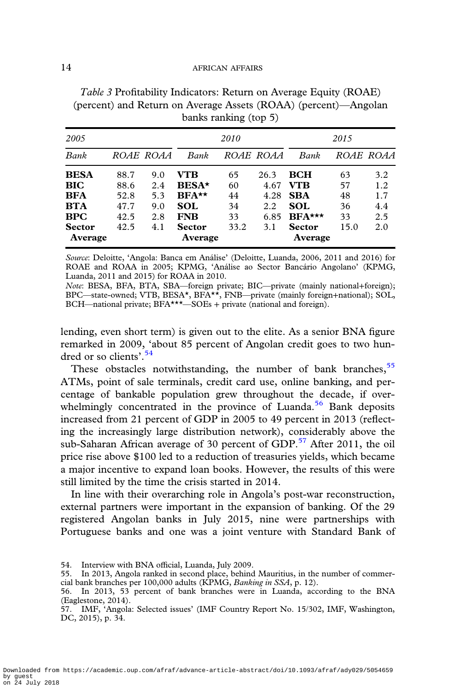| 2005          |      |           |               | 2010 |                  |               | 2015 |           |
|---------------|------|-----------|---------------|------|------------------|---------------|------|-----------|
| Bank          |      | ROAE ROAA | Bank          |      | <i>ROAE ROAA</i> | Bank          |      | ROAE ROAA |
| <b>BESA</b>   | 88.7 | 9.0       | VTB           | 65   | 26.3             | <b>BCH</b>    | 63   | 3.2       |
| <b>BIC</b>    | 88.6 | 2.4       | <b>BESA*</b>  | 60   | 4.67             | VTB           | 57   | 1.2       |
| <b>BFA</b>    | 52.8 | 5.3       | $BFA**$       | 44   | 4.28             | <b>SBA</b>    | 48   | 1.7       |
| <b>BTA</b>    | 47.7 | 9.0       | <b>SOL</b>    | 34   | 2.2              | SOL.          | 36   | 4.4       |
| <b>BPC</b>    | 42.5 | 2.8       | <b>FNB</b>    | 33   | 6.85             | $BFA***$      | 33   | 2.5       |
| <b>Sector</b> | 42.5 | 4.1       | <b>Sector</b> | 33.2 | 3.1              | <b>Sector</b> | 15.0 | 2.0       |
| Average       |      |           | Average       |      |                  | Average       |      |           |

<span id="page-13-0"></span>Table 3 Profitability Indicators: Return on Average Equity (ROAE) (percent) and Return on Average Assets (ROAA) (percent)—Angolan banks ranking (top 5)

Source: Deloitte, 'Angola: Banca em Análise' (Deloitte, Luanda, 2006, 2011 and 2016) for ROAE and ROAA in 2005; KPMG, 'Análise ao Sector Bancário Angolano' (KPMG, Luanda, 2011 and 2015) for ROAA in 2010.

Note: BESA, BFA, BTA, SBA—foreign private; BIC—private (mainly national+foreign); BPC—state-owned; VTB, BESA\*, BFA\*\*, FNB—private (mainly foreign+national); SOL, BCH—national private; BFA\*\*\*—SOEs + private (national and foreign).

lending, even short term) is given out to the elite. As a senior BNA figure remarked in 2009, 'about 85 percent of Angolan credit goes to two hundred or so clients'. 54

These obstacles notwithstanding, the number of bank branches,  $55$ ATMs, point of sale terminals, credit card use, online banking, and percentage of bankable population grew throughout the decade, if overwhelmingly concentrated in the province of Luanda.<sup>56</sup> Bank deposits increased from 21 percent of GDP in 2005 to 49 percent in 2013 (reflecting the increasingly large distribution network), considerably above the sub-Saharan African average of 30 percent of GDP.<sup>57</sup> After 2011, the oil price rise above \$100 led to a reduction of treasuries yields, which became a major incentive to expand loan books. However, the results of this were still limited by the time the crisis started in 2014.

In line with their overarching role in Angola's post-war reconstruction, external partners were important in the expansion of banking. Of the 29 registered Angolan banks in July 2015, nine were partnerships with Portuguese banks and one was a joint venture with Standard Bank of

<sup>54.</sup> Interview with BNA official, Luanda, July 2009.

<sup>55.</sup> In 2013, Angola ranked in second place, behind Mauritius, in the number of commercial bank branches per 100,000 adults (KPMG, Banking in SSA, p. 12).

<sup>56.</sup> In 2013, 53 percent of bank branches were in Luanda, according to the BNA (Eaglestone, 2014).

<sup>57.</sup> IMF, 'Angola: Selected issues' (IMF Country Report No. 15/302, IMF, Washington, DC, 2015), p. 34.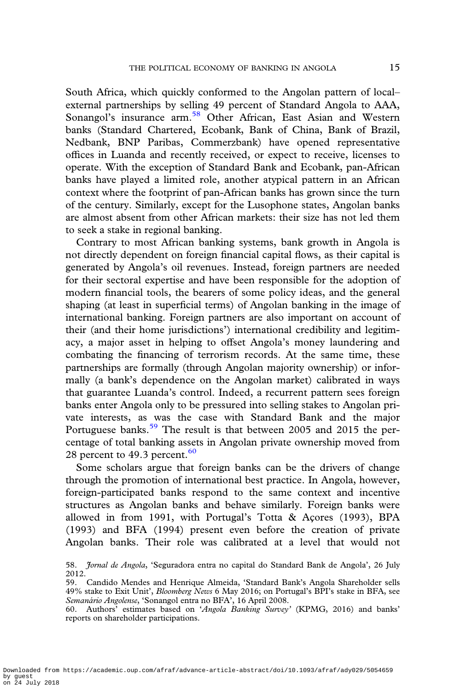South Africa, which quickly conformed to the Angolan pattern of local– external partnerships by selling 49 percent of Standard Angola to AAA, Sonangol's insurance arm.<sup>58</sup> Other African, East Asian and Western banks (Standard Chartered, Ecobank, Bank of China, Bank of Brazil, Nedbank, BNP Paribas, Commerzbank) have opened representative offices in Luanda and recently received, or expect to receive, licenses to operate. With the exception of Standard Bank and Ecobank, pan-African banks have played a limited role, another atypical pattern in an African context where the footprint of pan-African banks has grown since the turn of the century. Similarly, except for the Lusophone states, Angolan banks are almost absent from other African markets: their size has not led them to seek a stake in regional banking.

Contrary to most African banking systems, bank growth in Angola is not directly dependent on foreign financial capital flows, as their capital is generated by Angola's oil revenues. Instead, foreign partners are needed for their sectoral expertise and have been responsible for the adoption of modern financial tools, the bearers of some policy ideas, and the general shaping (at least in superficial terms) of Angolan banking in the image of international banking. Foreign partners are also important on account of their (and their home jurisdictions') international credibility and legitimacy, a major asset in helping to offset Angola's money laundering and combating the financing of terrorism records. At the same time, these partnerships are formally (through Angolan majority ownership) or informally (a bank's dependence on the Angolan market) calibrated in ways that guarantee Luanda's control. Indeed, a recurrent pattern sees foreign banks enter Angola only to be pressured into selling stakes to Angolan private interests, as was the case with Standard Bank and the major Portuguese banks.<sup>59</sup> The result is that between 2005 and 2015 the percentage of total banking assets in Angolan private ownership moved from 28 percent to 49.3 percent.  $60$ 

Some scholars argue that foreign banks can be the drivers of change through the promotion of international best practice. In Angola, however, foreign-participated banks respond to the same context and incentive structures as Angolan banks and behave similarly. Foreign banks were allowed in from 1991, with Portugal's Totta & Açores (1993), BPA (1993) and BFA (1994) present even before the creation of private Angolan banks. Their role was calibrated at a level that would not

<sup>58.</sup> *Jornal de Angola*, 'Seguradora entra no capital do Standard Bank de Angola', 26 July 2012.

<sup>59.</sup> Candido Mendes and Henrique Almeida, 'Standard Bank's Angola Shareholder sells 49% stake to Exit Unit', Bloomberg News 6 May 2016; on Portugal's BPI's stake in BFA, see Semanário Angolense, 'Sonangol entra no BFA', 16 April 2008.

<sup>60.</sup> Authors' estimates based on 'Angola Banking Survey' (KPMG, 2016) and banks' reports on shareholder participations.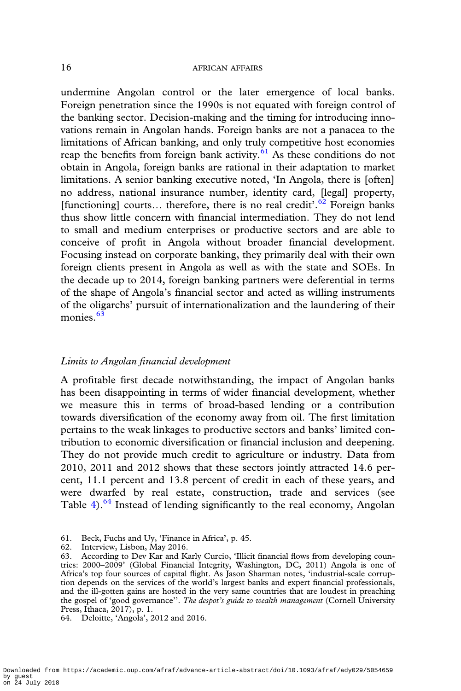undermine Angolan control or the later emergence of local banks. Foreign penetration since the 1990s is not equated with foreign control of the banking sector. Decision-making and the timing for introducing innovations remain in Angolan hands. Foreign banks are not a panacea to the limitations of African banking, and only truly competitive host economies reap the benefits from foreign bank activity. $61$  As these conditions do not obtain in Angola, foreign banks are rational in their adaptation to market limitations. A senior banking executive noted, 'In Angola, there is [often] no address, national insurance number, identity card, [legal] property, [functioning] courts... therefore, there is no real credit'.<sup>62</sup> Foreign banks thus show little concern with financial intermediation. They do not lend to small and medium enterprises or productive sectors and are able to conceive of profit in Angola without broader financial development. Focusing instead on corporate banking, they primarily deal with their own foreign clients present in Angola as well as with the state and SOEs. In the decade up to 2014, foreign banking partners were deferential in terms of the shape of Angola's financial sector and acted as willing instruments of the oligarchs' pursuit of internationalization and the laundering of their monies.<sup>63</sup>

# Limits to Angolan financial development

A profitable first decade notwithstanding, the impact of Angolan banks has been disappointing in terms of wider financial development, whether we measure this in terms of broad-based lending or a contribution towards diversification of the economy away from oil. The first limitation pertains to the weak linkages to productive sectors and banks' limited contribution to economic diversification or financial inclusion and deepening. They do not provide much credit to agriculture or industry. Data from 2010, 2011 and 2012 shows that these sectors jointly attracted 14.6 percent, 11.1 percent and 13.8 percent of credit in each of these years, and were dwarfed by real estate, construction, trade and services (see Table  $4)$  $4)$ .<sup>64</sup> Instead of lending significantly to the real economy, Angolan

<sup>61.</sup> Beck, Fuchs and Uy, 'Finance in Africa', p. 45.

<sup>62.</sup> Interview, Lisbon, May 2016.

<sup>63.</sup> According to Dev Kar and Karly Curcio, 'Illicit financial flows from developing countries: 2000–2009' (Global Financial Integrity, Washington, DC, 2011) Angola is one of Africa's top four sources of capital flight. As Jason Sharman notes, 'industrial-scale corruption depends on the services of the world's largest banks and expert financial professionals, and the ill-gotten gains are hosted in the very same countries that are loudest in preaching the gospel of 'good governance''. The despot's guide to wealth management (Cornell University Press, Ithaca, 2017), p. 1.

<sup>64.</sup> Deloitte, 'Angola', 2012 and 2016.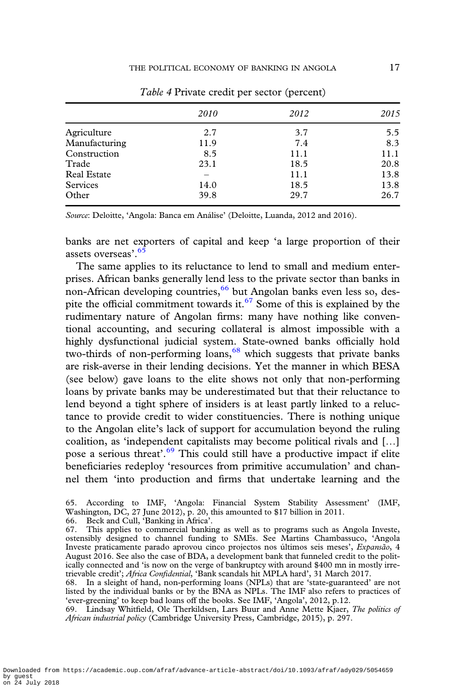<span id="page-16-0"></span>

|                    | <i>2010</i> | 2012 | 2015 |
|--------------------|-------------|------|------|
| Agriculture        | 2.7         | 3.7  | 5.5  |
| Manufacturing      | 11.9        | 7.4  | 8.3  |
| Construction       | 8.5         | 11.1 | 11.1 |
| Trade              | 23.1        | 18.5 | 20.8 |
| <b>Real Estate</b> |             | 11.1 | 13.8 |
| <b>Services</b>    | 14.0        | 18.5 | 13.8 |
| Other              | 39.8        | 29.7 | 26.7 |

Table 4 Private credit per sector (percent)

Source: Deloitte, 'Angola: Banca em Análise' (Deloitte, Luanda, 2012 and 2016).

banks are net exporters of capital and keep 'a large proportion of their assets overseas'. 65

The same applies to its reluctance to lend to small and medium enterprises. African banks generally lend less to the private sector than banks in non-African developing countries,<sup>66</sup> but Angolan banks even less so, despite the official commitment towards it.<sup>67</sup> Some of this is explained by the rudimentary nature of Angolan firms: many have nothing like conventional accounting, and securing collateral is almost impossible with a highly dysfunctional judicial system. State-owned banks officially hold two-thirds of non-performing loans, $68$  which suggests that private banks are risk-averse in their lending decisions. Yet the manner in which BESA (see below) gave loans to the elite shows not only that non-performing loans by private banks may be underestimated but that their reluctance to lend beyond a tight sphere of insiders is at least partly linked to a reluctance to provide credit to wider constituencies. There is nothing unique to the Angolan elite's lack of support for accumulation beyond the ruling coalition, as 'independent capitalists may become political rivals and […] pose a serious threat'.<sup>69</sup> This could still have a productive impact if elite beneficiaries redeploy 'resources from primitive accumulation' and channel them 'into production and firms that undertake learning and the

65. According to IMF, 'Angola: Financial System Stability Assessment' (IMF, Washington, DC, 27 June 2012), p. 20, this amounted to \$17 billion in 2011.

66. Beck and Cull, 'Banking in Africa'.

67. This applies to commercial banking as well as to programs such as Angola Investe, ostensibly designed to channel funding to SMEs. See Martins Chambassuco, 'Angola Investe praticamente parado aprovou cinco projectos nos últimos seis meses', Expansão, 4 August 2016. See also the case of BDA, a development bank that funneled credit to the politically connected and 'is now on the verge of bankruptcy with around \$400 mn in mostly irretrievable credit'; Africa Confidential, 'Bank scandals hit MPLA hard', 31 March 2017.

68. In a sleight of hand, non-performing loans (NPLs) that are 'state-guaranteed' are not listed by the individual banks or by the BNA as NPLs. The IMF also refers to practices of 'ever-greening' to keep bad loans off the books. See IMF, 'Angola', 2012, p.12.

69. Lindsay Whitfield, Ole Therkildsen, Lars Buur and Anne Mette Kjaer, The politics of African industrial policy (Cambridge University Press, Cambridge, 2015), p. 297.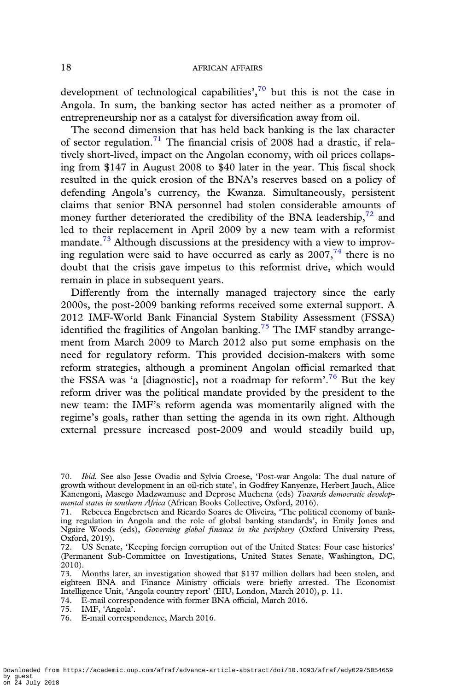development of technological capabilities', $70$  but this is not the case in Angola. In sum, the banking sector has acted neither as a promoter of entrepreneurship nor as a catalyst for diversification away from oil.

The second dimension that has held back banking is the lax character of sector regulation.<sup>71</sup> The financial crisis of 2008 had a drastic, if relatively short-lived, impact on the Angolan economy, with oil prices collapsing from \$147 in August 2008 to \$40 later in the year. This fiscal shock resulted in the quick erosion of the BNA's reserves based on a policy of defending Angola's currency, the Kwanza. Simultaneously, persistent claims that senior BNA personnel had stolen considerable amounts of money further deteriorated the credibility of the BNA leadership, $72$  and led to their replacement in April 2009 by a new team with a reformist mandate.<sup>73</sup> Although discussions at the presidency with a view to improving regulation were said to have occurred as early as  $2007<sup>74</sup>$  there is no doubt that the crisis gave impetus to this reformist drive, which would remain in place in subsequent years.

Differently from the internally managed trajectory since the early 2000s, the post-2009 banking reforms received some external support. A 2012 IMF-World Bank Financial System Stability Assessment (FSSA) identified the fragilities of Angolan banking.<sup>75</sup> The IMF standby arrangement from March 2009 to March 2012 also put some emphasis on the need for regulatory reform. This provided decision-makers with some reform strategies, although a prominent Angolan official remarked that the FSSA was 'a [diagnostic], not a roadmap for reform'.<sup>76</sup> But the key reform driver was the political mandate provided by the president to the new team: the IMF's reform agenda was momentarily aligned with the regime's goals, rather than setting the agenda in its own right. Although external pressure increased post-2009 and would steadily build up,

74. E-mail correspondence with former BNA official, March 2016.

75. IMF, 'Angola'.

<sup>70.</sup> Ibid. See also Jesse Ovadia and Sylvia Croese, 'Post-war Angola: The dual nature of growth without development in an oil-rich state', in Godfrey Kanyenze, Herbert Jauch, Alice Kanengoni, Masego Madzwamuse and Deprose Muchena (eds) Towards democratic developmental states in southern Africa (African Books Collective, Oxford, 2016).

<sup>71.</sup> Rebecca Engebretsen and Ricardo Soares de Oliveira, 'The political economy of banking regulation in Angola and the role of global banking standards', in Emily Jones and Ngaire Woods (eds), Governing global finance in the periphery (Oxford University Press, Oxford, 2019).

<sup>72.</sup> US Senate, 'Keeping foreign corruption out of the United States: Four case histories' (Permanent Sub-Committee on Investigations, United States Senate, Washington, DC, 2010).

<sup>73.</sup> Months later, an investigation showed that \$137 million dollars had been stolen, and eighteen BNA and Finance Ministry officials were briefly arrested. The Economist Intelligence Unit, 'Angola country report' (EIU, London, March 2010), p. 11.

<sup>76.</sup> E-mail correspondence, March 2016.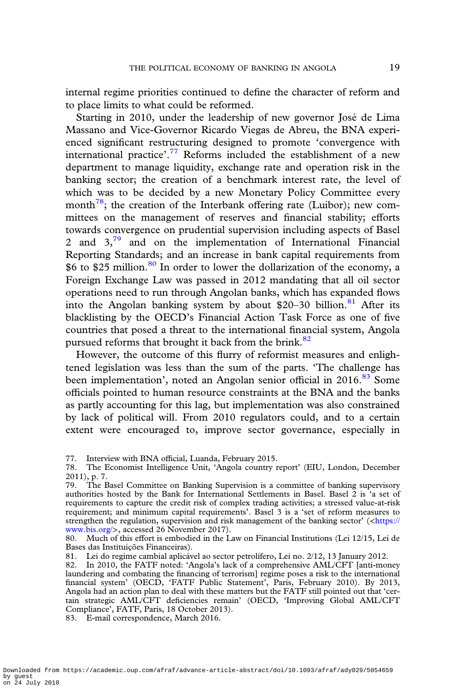internal regime priorities continued to define the character of reform and to place limits to what could be reformed.

Starting in 2010, under the leadership of new governor José de Lima Massano and Vice-Governor Ricardo Viegas de Abreu, the BNA experienced significant restructuring designed to promote 'convergence with international practice'.<sup>77</sup> Reforms included the establishment of a new department to manage liquidity, exchange rate and operation risk in the banking sector; the creation of a benchmark interest rate, the level of which was to be decided by a new Monetary Policy Committee every month<sup>78</sup>; the creation of the Interbank offering rate (Luibor); new committees on the management of reserves and financial stability; efforts towards convergence on prudential supervision including aspects of Basel 2 and  $3<sup>79</sup>$  and on the implementation of International Financial Reporting Standards; and an increase in bank capital requirements from  $$6$  to \$25 million.<sup>80</sup> In order to lower the dollarization of the economy, a Foreign Exchange Law was passed in 2012 mandating that all oil sector operations need to run through Angolan banks, which has expanded flows into the Angolan banking system by about \$20–30 billion.<sup>81</sup> After its blacklisting by the OECD's Financial Action Task Force as one of five countries that posed a threat to the international financial system, Angola pursued reforms that brought it back from the brink.<sup>82</sup>

However, the outcome of this flurry of reformist measures and enlightened legislation was less than the sum of the parts. 'The challenge has been implementation', noted an Angolan senior official in 2016.<sup>83</sup> Some officials pointed to human resource constraints at the BNA and the banks as partly accounting for this lag, but implementation was also constrained by lack of political will. From 2010 regulators could, and to a certain extent were encouraged to, improve sector governance, especially in

<sup>77.</sup> Interview with BNA official, Luanda, February 2015.

<sup>78.</sup> The Economist Intelligence Unit, 'Angola country report' (EIU, London, December 2011), p. 7.

<sup>79.</sup> The Basel Committee on Banking Supervision is a committee of banking supervisory authorities hosted by the Bank for International Settlements in Basel. Basel 2 is 'a set of requirements to capture the credit risk of complex trading activities; a stressed value-at-risk requirement; and minimum capital requirements'. Basel 3 is a 'set of reform measures to strengthen the regulation, supervision and risk management of the banking sector'  $\langle$  <[https://](https://www.bis.org/) [www.bis.org/](https://www.bis.org/)>, accessed 26 November 2017).

<sup>80.</sup> Much of this effort is embodied in the Law on Financial Institutions (Lei 12/15, Lei de Bases das Instituições Financeiras).

<sup>81.</sup> Lei do regime cambial aplicável ao sector petrolífero, Lei no. 2/12, 13 January 2012.

<sup>82.</sup> In 2010, the FATF noted: 'Angola's lack of a comprehensive AML/CFT [anti-money laundering and combating the financing of terrorism] regime poses a risk to the international financial system' (OECD, 'FATF Public Statement', Paris, February 2010). By 2013, Angola had an action plan to deal with these matters but the FATF still pointed out that 'certain strategic AML/CFT deficiencies remain' (OECD, 'Improving Global AML/CFT Compliance', FATF, Paris, 18 October 2013).

<sup>83.</sup> E-mail correspondence, March 2016.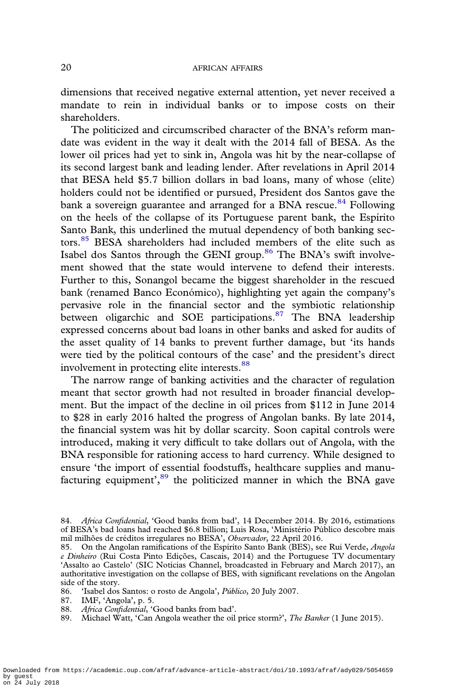dimensions that received negative external attention, yet never received a mandate to rein in individual banks or to impose costs on their shareholders.

The politicized and circumscribed character of the BNA's reform mandate was evident in the way it dealt with the 2014 fall of BESA. As the lower oil prices had yet to sink in, Angola was hit by the near-collapse of its second largest bank and leading lender. After revelations in April 2014 that BESA held \$5.7 billion dollars in bad loans, many of whose (elite) holders could not be identified or pursued, President dos Santos gave the bank a sovereign guarantee and arranged for a BNA rescue.<sup>84</sup> Following on the heels of the collapse of its Portuguese parent bank, the Espírito Santo Bank, this underlined the mutual dependency of both banking sectors.<sup>85</sup> BESA shareholders had included members of the elite such as Isabel dos Santos through the GENI group.<sup>86</sup> The BNA's swift involvement showed that the state would intervene to defend their interests. Further to this, Sonangol became the biggest shareholder in the rescued bank (renamed Banco Económico), highlighting yet again the company's pervasive role in the financial sector and the symbiotic relationship between oligarchic and SOE participations.<sup>87</sup> The BNA leadership expressed concerns about bad loans in other banks and asked for audits of the asset quality of 14 banks to prevent further damage, but 'its hands were tied by the political contours of the case' and the president's direct involvement in protecting elite interests.<sup>88</sup>

The narrow range of banking activities and the character of regulation meant that sector growth had not resulted in broader financial development. But the impact of the decline in oil prices from \$112 in June 2014 to \$28 in early 2016 halted the progress of Angolan banks. By late 2014, the financial system was hit by dollar scarcity. Soon capital controls were introduced, making it very difficult to take dollars out of Angola, with the BNA responsible for rationing access to hard currency. While designed to ensure 'the import of essential foodstuffs, healthcare supplies and manufacturing equipment',<sup>89</sup> the politicized manner in which the BNA gave

<sup>84.</sup> Africa Confidential, 'Good banks from bad', 14 December 2014. By 2016, estimations of BESA's bad loans had reached \$6.8 billion; Luis Rosa, 'Ministério Público descobre mais mil milhões de créditos irregulares no BESA', Observador, 22 April 2016.

<sup>85.</sup> On the Angolan ramifications of the Espírito Santo Bank (BES), see Rui Verde, Angola e Dinheiro (Rui Costa Pinto Edições, Cascais, 2014) and the Portuguese TV documentary 'Assalto ao Castelo' (SIC Notícias Channel, broadcasted in February and March 2017), an authoritative investigation on the collapse of BES, with significant revelations on the Angolan side of the story.

<sup>86.</sup> 'Isabel dos Santos: o rosto de Angola', Público, 20 July 2007.

<sup>87.</sup> IMF, 'Angola', p. 5.

<sup>88.</sup> Africa Confidential, 'Good banks from bad'.

<sup>89.</sup> Michael Watt, 'Can Angola weather the oil price storm?', The Banker (1 June 2015).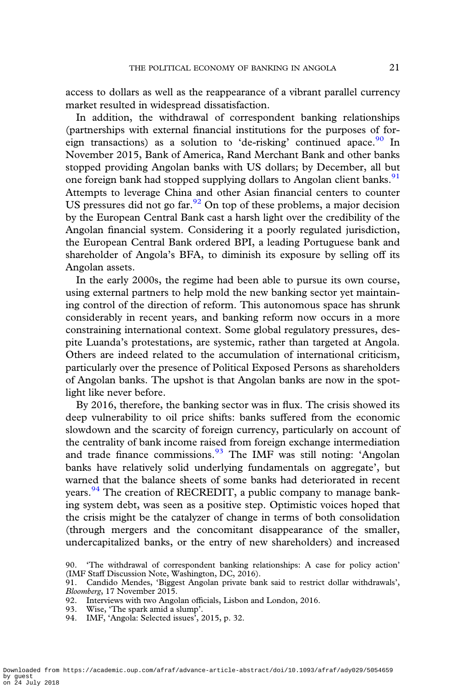access to dollars as well as the reappearance of a vibrant parallel currency market resulted in widespread dissatisfaction.

In addition, the withdrawal of correspondent banking relationships (partnerships with external financial institutions for the purposes of foreign transactions) as a solution to 'de-risking' continued apace.<sup>90</sup> In November 2015, Bank of America, Rand Merchant Bank and other banks stopped providing Angolan banks with US dollars; by December, all but one foreign bank had stopped supplying dollars to Angolan client banks.<sup>91</sup> Attempts to leverage China and other Asian financial centers to counter US pressures did not go far.  $\frac{92}{2}$  On top of these problems, a major decision by the European Central Bank cast a harsh light over the credibility of the Angolan financial system. Considering it a poorly regulated jurisdiction, the European Central Bank ordered BPI, a leading Portuguese bank and shareholder of Angola's BFA, to diminish its exposure by selling off its Angolan assets.

In the early 2000s, the regime had been able to pursue its own course, using external partners to help mold the new banking sector yet maintaining control of the direction of reform. This autonomous space has shrunk considerably in recent years, and banking reform now occurs in a more constraining international context. Some global regulatory pressures, despite Luanda's protestations, are systemic, rather than targeted at Angola. Others are indeed related to the accumulation of international criticism, particularly over the presence of Political Exposed Persons as shareholders of Angolan banks. The upshot is that Angolan banks are now in the spotlight like never before.

By 2016, therefore, the banking sector was in flux. The crisis showed its deep vulnerability to oil price shifts: banks suffered from the economic slowdown and the scarcity of foreign currency, particularly on account of the centrality of bank income raised from foreign exchange intermediation and trade finance commissions. <sup>93</sup> The IMF was still noting: 'Angolan banks have relatively solid underlying fundamentals on aggregate', but warned that the balance sheets of some banks had deteriorated in recent years.<sup>94</sup> The creation of RECREDIT, a public company to manage banking system debt, was seen as a positive step. Optimistic voices hoped that the crisis might be the catalyzer of change in terms of both consolidation (through mergers and the concomitant disappearance of the smaller, undercapitalized banks, or the entry of new shareholders) and increased

- 93. Wise, 'The spark amid a slump'.
- 94. IMF, 'Angola: Selected issues', 2015, p. 32.

<sup>90.</sup> 'The withdrawal of correspondent banking relationships: A case for policy action' (IMF Staff Discussion Note, Washington, DC, 2016).

<sup>91.</sup> Candido Mendes, 'Biggest Angolan private bank said to restrict dollar withdrawals', Bloomberg, 17 November 2015.

<sup>92.</sup> Interviews with two Angolan officials, Lisbon and London, 2016.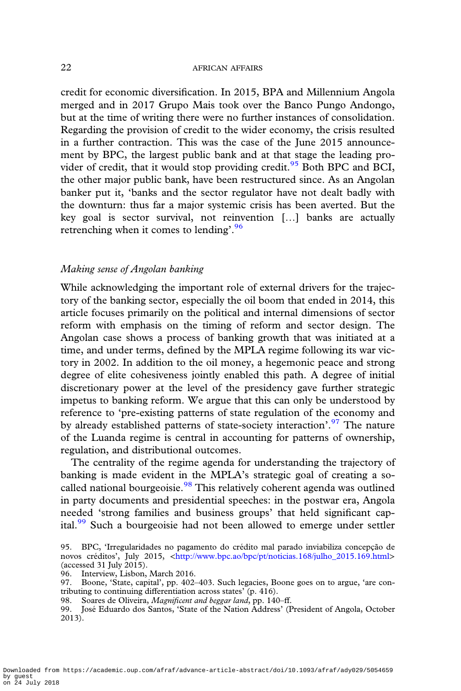credit for economic diversification. In 2015, BPA and Millennium Angola merged and in 2017 Grupo Mais took over the Banco Pungo Andongo, but at the time of writing there were no further instances of consolidation. Regarding the provision of credit to the wider economy, the crisis resulted in a further contraction. This was the case of the June 2015 announcement by BPC, the largest public bank and at that stage the leading provider of credit, that it would stop providing credit.<sup>95</sup> Both BPC and BCI, the other major public bank, have been restructured since. As an Angolan banker put it, 'banks and the sector regulator have not dealt badly with the downturn: thus far a major systemic crisis has been averted. But the key goal is sector survival, not reinvention […] banks are actually retrenching when it comes to lending'.<sup>96</sup>

# Making sense of Angolan banking

While acknowledging the important role of external drivers for the trajectory of the banking sector, especially the oil boom that ended in 2014, this article focuses primarily on the political and internal dimensions of sector reform with emphasis on the timing of reform and sector design. The Angolan case shows a process of banking growth that was initiated at a time, and under terms, defined by the MPLA regime following its war victory in 2002. In addition to the oil money, a hegemonic peace and strong degree of elite cohesiveness jointly enabled this path. A degree of initial discretionary power at the level of the presidency gave further strategic impetus to banking reform. We argue that this can only be understood by reference to 'pre-existing patterns of state regulation of the economy and by already established patterns of state-society interaction'.<sup>97</sup> The nature of the Luanda regime is central in accounting for patterns of ownership, regulation, and distributional outcomes.

The centrality of the regime agenda for understanding the trajectory of banking is made evident in the MPLA's strategic goal of creating a socalled national bourgeoisie.<sup>98</sup> This relatively coherent agenda was outlined in party documents and presidential speeches: in the postwar era, Angola needed 'strong families and business groups' that held significant capital.<sup>99</sup> Such a bourgeoisie had not been allowed to emerge under settler

Downloaded from https://academic.oup.com/afraf/advance-article-abstract/doi/10.1093/afraf/ady029/5054659 by guest on 24 July 2018

<sup>95.</sup> BPC, 'Irregularidades no pagamento do crédito mal parado inviabiliza concepção de novos créditos', July 2015, <[http://www.bpc.ao/bpc/pt/noticias.168/julho\\_2015.169.html](http://www.bpc.ao/bpc/pt/noticias.168/julho_2015.169.html)> (accessed 31 July 2015).

<sup>96.</sup> Interview, Lisbon, March 2016.

<sup>97.</sup> Boone, 'State, capital', pp. 402–403. Such legacies, Boone goes on to argue, 'are contributing to continuing differentiation across states' (p. 416).

<sup>98.</sup> Soares de Oliveira, Magnificent and beggar land, pp. 140-ff.

<sup>99.</sup> José Eduardo dos Santos, 'State of the Nation Address' (President of Angola, October 2013).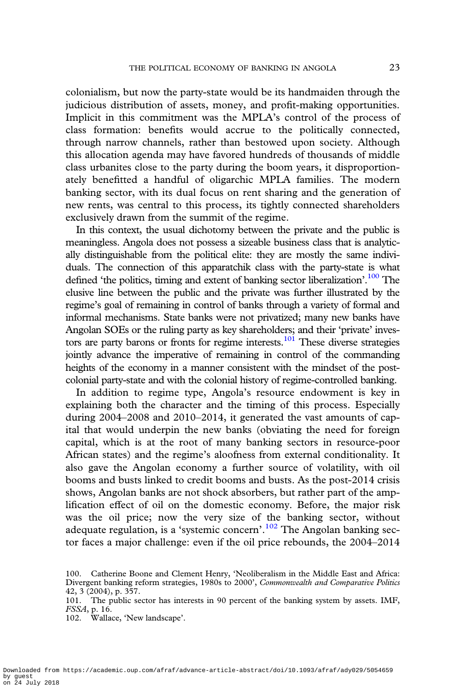colonialism, but now the party-state would be its handmaiden through the judicious distribution of assets, money, and profit-making opportunities. Implicit in this commitment was the MPLA's control of the process of class formation: benefits would accrue to the politically connected, through narrow channels, rather than bestowed upon society. Although this allocation agenda may have favored hundreds of thousands of middle class urbanites close to the party during the boom years, it disproportionately benefitted a handful of oligarchic MPLA families. The modern banking sector, with its dual focus on rent sharing and the generation of new rents, was central to this process, its tightly connected shareholders exclusively drawn from the summit of the regime.

In this context, the usual dichotomy between the private and the public is meaningless. Angola does not possess a sizeable business class that is analytically distinguishable from the political elite: they are mostly the same individuals. The connection of this apparatchik class with the party-state is what defined 'the politics, timing and extent of banking sector liberalization'.<sup>100</sup> The elusive line between the public and the private was further illustrated by the regime's goal of remaining in control of banks through a variety of formal and informal mechanisms. State banks were not privatized; many new banks have Angolan SOEs or the ruling party as key shareholders; and their 'private' investors are party barons or fronts for regime interests.<sup>101</sup> These diverse strategies jointly advance the imperative of remaining in control of the commanding heights of the economy in a manner consistent with the mindset of the postcolonial party-state and with the colonial history of regime-controlled banking.

In addition to regime type, Angola's resource endowment is key in explaining both the character and the timing of this process. Especially during 2004–2008 and 2010–2014, it generated the vast amounts of capital that would underpin the new banks (obviating the need for foreign capital, which is at the root of many banking sectors in resource-poor African states) and the regime's aloofness from external conditionality. It also gave the Angolan economy a further source of volatility, with oil booms and busts linked to credit booms and busts. As the post-2014 crisis shows, Angolan banks are not shock absorbers, but rather part of the amplification effect of oil on the domestic economy. Before, the major risk was the oil price; now the very size of the banking sector, without adequate regulation, is a 'systemic concern'.<sup>102</sup> The Angolan banking sector faces a major challenge: even if the oil price rebounds, the 2004–2014

<sup>100.</sup> Catherine Boone and Clement Henry, 'Neoliberalism in the Middle East and Africa: Divergent banking reform strategies, 1980s to 2000', Commonwealth and Comparative Politics 42, 3 (2004), p. 357.

<sup>101.</sup> The public sector has interests in 90 percent of the banking system by assets. IMF, FSSA, p. 16.

<sup>102.</sup> Wallace, 'New landscape'.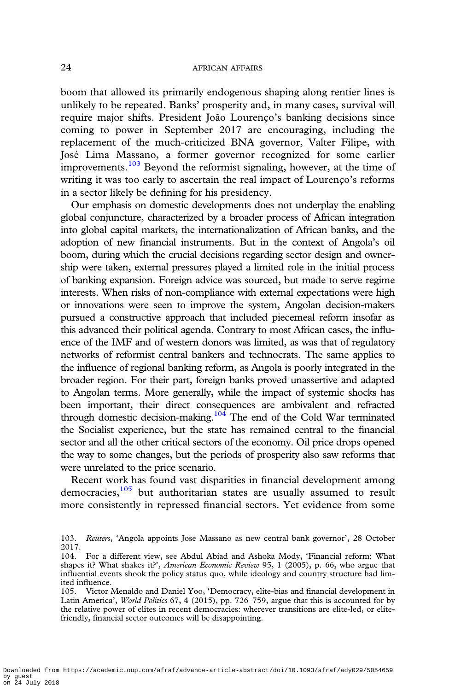boom that allowed its primarily endogenous shaping along rentier lines is unlikely to be repeated. Banks' prosperity and, in many cases, survival will require major shifts. President João Lourenço's banking decisions since coming to power in September 2017 are encouraging, including the replacement of the much-criticized BNA governor, Valter Filipe, with José Lima Massano, a former governor recognized for some earlier improvements.<sup>103</sup> Beyond the reformist signaling, however, at the time of writing it was too early to ascertain the real impact of Lourenço's reforms in a sector likely be defining for his presidency.

Our emphasis on domestic developments does not underplay the enabling global conjuncture, characterized by a broader process of African integration into global capital markets, the internationalization of African banks, and the adoption of new financial instruments. But in the context of Angola's oil boom, during which the crucial decisions regarding sector design and ownership were taken, external pressures played a limited role in the initial process of banking expansion. Foreign advice was sourced, but made to serve regime interests. When risks of non-compliance with external expectations were high or innovations were seen to improve the system, Angolan decision-makers pursued a constructive approach that included piecemeal reform insofar as this advanced their political agenda. Contrary to most African cases, the influence of the IMF and of western donors was limited, as was that of regulatory networks of reformist central bankers and technocrats. The same applies to the influence of regional banking reform, as Angola is poorly integrated in the broader region. For their part, foreign banks proved unassertive and adapted to Angolan terms. More generally, while the impact of systemic shocks has been important, their direct consequences are ambivalent and refracted through domestic decision-making.104 The end of the Cold War terminated the Socialist experience, but the state has remained central to the financial sector and all the other critical sectors of the economy. Oil price drops opened the way to some changes, but the periods of prosperity also saw reforms that were unrelated to the price scenario.

Recent work has found vast disparities in financial development among democracies, $105$  but authoritarian states are usually assumed to result more consistently in repressed financial sectors. Yet evidence from some

<sup>103.</sup> Reuters, 'Angola appoints Jose Massano as new central bank governor', 28 October 2017.

<sup>104.</sup> For a different view, see Abdul Abiad and Ashoka Mody, 'Financial reform: What shapes it? What shakes it?', American Economic Review 95, 1 (2005), p. 66, who argue that influential events shook the policy status quo, while ideology and country structure had limited influence.

<sup>105.</sup> Victor Menaldo and Daniel Yoo, 'Democracy, elite-bias and financial development in Latin America', World Politics 67, 4 (2015), pp. 726–759, argue that this is accounted for by the relative power of elites in recent democracies: wherever transitions are elite-led, or elitefriendly, financial sector outcomes will be disappointing.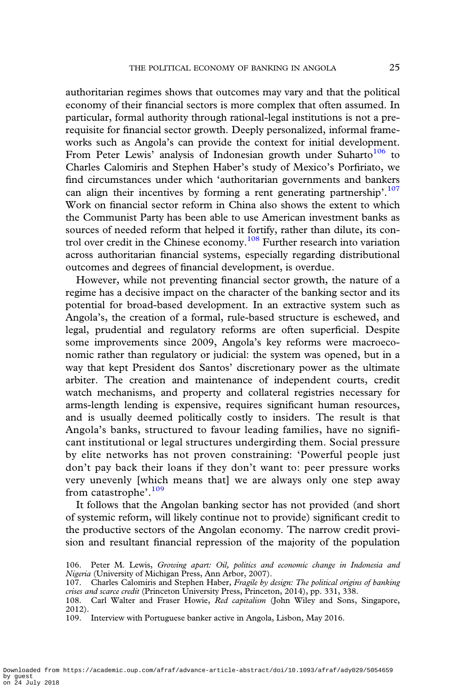authoritarian regimes shows that outcomes may vary and that the political economy of their financial sectors is more complex that often assumed. In particular, formal authority through rational-legal institutions is not a prerequisite for financial sector growth. Deeply personalized, informal frameworks such as Angola's can provide the context for initial development. From Peter Lewis' analysis of Indonesian growth under Suharto $106$  to Charles Calomiris and Stephen Haber's study of Mexico's Porfiriato, we find circumstances under which 'authoritarian governments and bankers can align their incentives by forming a rent generating partnership'.<sup>107</sup> Work on financial sector reform in China also shows the extent to which the Communist Party has been able to use American investment banks as sources of needed reform that helped it fortify, rather than dilute, its control over credit in the Chinese economy.108 Further research into variation across authoritarian financial systems, especially regarding distributional outcomes and degrees of financial development, is overdue.

However, while not preventing financial sector growth, the nature of a regime has a decisive impact on the character of the banking sector and its potential for broad-based development. In an extractive system such as Angola's, the creation of a formal, rule-based structure is eschewed, and legal, prudential and regulatory reforms are often superficial. Despite some improvements since 2009, Angola's key reforms were macroeconomic rather than regulatory or judicial: the system was opened, but in a way that kept President dos Santos' discretionary power as the ultimate arbiter. The creation and maintenance of independent courts, credit watch mechanisms, and property and collateral registries necessary for arms-length lending is expensive, requires significant human resources, and is usually deemed politically costly to insiders. The result is that Angola's banks, structured to favour leading families, have no significant institutional or legal structures undergirding them. Social pressure by elite networks has not proven constraining: 'Powerful people just don't pay back their loans if they don't want to: peer pressure works very unevenly [which means that] we are always only one step away from catastrophe'.<sup>109</sup>

It follows that the Angolan banking sector has not provided (and short of systemic reform, will likely continue not to provide) significant credit to the productive sectors of the Angolan economy. The narrow credit provision and resultant financial repression of the majority of the population

<sup>106.</sup> Peter M. Lewis, Growing apart: Oil, politics and economic change in Indonesia and Nigeria (University of Michigan Press, Ann Arbor, 2007).

<sup>107.</sup> Charles Calomiris and Stephen Haber, Fragile by design: The political origins of banking crises and scarce credit (Princeton University Press, Princeton, 2014), pp. 331, 338.

<sup>108.</sup> Carl Walter and Fraser Howie, Red capitalism (John Wiley and Sons, Singapore, 2012).

<sup>109.</sup> Interview with Portuguese banker active in Angola, Lisbon, May 2016.